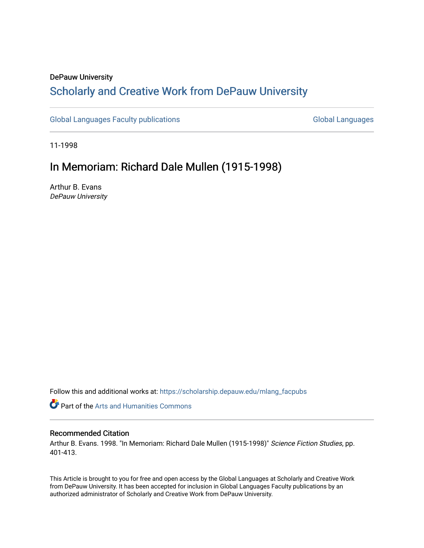## DePauw University

# Scholarly and [Creative Work from DePauw Univ](https://scholarship.depauw.edu/)ersity

[Global Languages Faculty publications](https://scholarship.depauw.edu/mlang_facpubs) [Global Languages](https://scholarship.depauw.edu/modernlanguages) Global Languages

11-1998

## In Memoriam: Richard Dale Mullen (1915-1998)

Arthur B. Evans DePauw University

Follow this and additional works at: [https://scholarship.depauw.edu/mlang\\_facpubs](https://scholarship.depauw.edu/mlang_facpubs?utm_source=scholarship.depauw.edu%2Fmlang_facpubs%2F23&utm_medium=PDF&utm_campaign=PDFCoverPages)

**Part of the Arts and Humanities Commons** 

### Recommended Citation

Arthur B. Evans. 1998. "In Memoriam: Richard Dale Mullen (1915-1998)" Science Fiction Studies, pp. 401-413.

This Article is brought to you for free and open access by the Global Languages at Scholarly and Creative Work from DePauw University. It has been accepted for inclusion in Global Languages Faculty publications by an authorized administrator of Scholarly and Creative Work from DePauw University.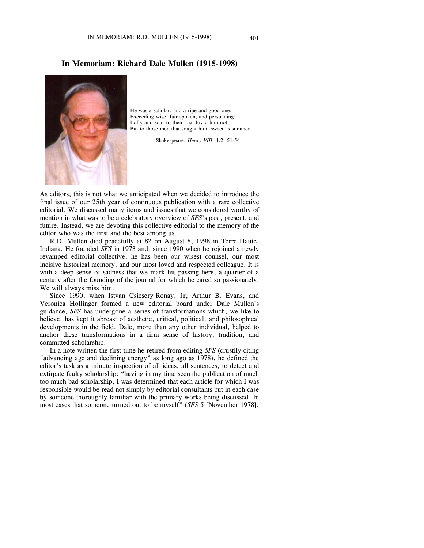He was a scholar, and a ripe and good one; Exceeding wise, fair-spoken, and persuading; Lofty and sour to them that lov'd him not; But to those men that sought him, sweet as summer.

Shakespeare, *Henry VIII*, 4.2: 51-54.

As editors, this is not what we anticipated when we decided to introduce the final issue of our 25th year of continuous publication with a rare collective editorial. We discussed many items and issues that we considered worthy of mention in what was to be a celebratory overview of *SFS*'s past, present, and future. Instead, we are devoting this collective editorial to the memory of the editor who was the first and the best among us.

R.D. Mullen died peacefully at 82 on August 8, 1998 in Terre Haute, Indiana. He founded *SFS* in 1973 and, since 1990 when he rejoined a newly revamped editorial collective, he has been our wisest counsel, our most incisive historical memory, and our most loved and respected colleague. It is with a deep sense of sadness that we mark his passing here, a quarter of a century after the founding of the journal for which he cared so passionately. We will always miss him.

Since 1990, when Istvan Csicsery-Ronay, Jr, Arthur B. Evans, and Veronica Hollinger formed a new editorial board under Dale Mullen's guidance, *SFS* has undergone a series of transformations which, we like to believe, has kept it abreast of aesthetic, critical, political, and philosophical developments in the field. Dale, more than any other individual, helped to anchor these transformations in a firm sense of history, tradition, and committed scholarship.

In a note written the first time he retired from editing *SFS* (crustily citing "advancing age and declining energy" as long ago as 1978), he defined the editor's task as a minute inspection of all ideas, all sentences, to detect and extirpate faulty scholarship: "having in my time seen the publication of much too much bad scholarship, I was determined that each article for which I was responsible would be read not simply by editorial consultants but in each case by someone thoroughly familiar with the primary works being discussed. In most cases that someone turned out to be myself" (*SFS* 5 [November 1978]:

## **In Memoriam: Richard Dale Mullen (1915-1998)**

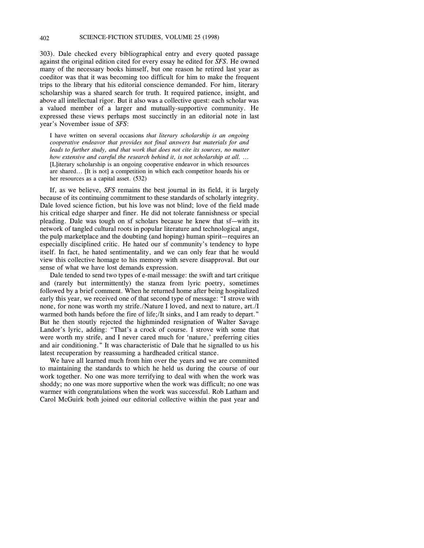303). Dale checked every bibliographical entry and every quoted passage against the original edition cited for every essay he edited for *SFS*. He owned many of the necessary books himself, but one reason he retired last year as coeditor was that it was becoming too difficult for him to make the frequent trips to the library that his editorial conscience demanded. For him, literary scholarship was a shared search for truth. It required patience, insight, and above all intellectual rigor. But it also was a collective quest: each scholar was a valued member of a larger and mutually-supportive community. He expressed these views perhaps most succinctly in an editorial note in last year's November issue of *SFS*:

I have written on several occasions *that literary scholarship is an ongoing cooperative endeavor that provides not final answers but materials for and leads to further study, and that work that does not cite its sources, no matter how extensive and careful the research behind it, is not scholarship at all.* ... [L]iterary scholarship is an ongoing cooperative endeavor in which resources are shared... [It is not] a competition in which each competitor hoards his or her resources as a capital asset. (532)

If, as we believe, *SFS* remains the best journal in its field, it is largely because of its continuing commitment to these standards of scholarly integrity. Dale loved science fiction, but his love was not blind; love of the field made his critical edge sharper and finer. He did not tolerate fannishness or special pleading. Dale was tough on sf scholars because he knew that sf—with its network of tangled cultural roots in popular literature and technological angst, the pulp marketplace and the doubting (and hoping) human spirit—requires an especially disciplined critic. He hated our sf community's tendency to hype itself. In fact, he hated sentimentality, and we can only fear that he would view this collective homage to his memory with severe disapproval. But our sense of what we have lost demands expression.

Dale tended to send two types of e-mail message: the swift and tart critique and (rarely but intermittently) the stanza from lyric poetry, sometimes followed by a brief comment. When he returned home after being hospitalized early this year, we received one of that second type of message: "I strove with none, for none was worth my strife./Nature I loved, and next to nature, art./I warmed both hands before the fire of life;/It sinks, and I am ready to depart." But he then stoutly rejected the highminded resignation of Walter Savage Landor's lyric, adding: "That's a crock of course. I strove with some that were worth my strife, and I never cared much for 'nature,' preferring cities and air conditioning." It was characteristic of Dale that he signalled to us his latest recuperation by reassuming a hardheaded critical stance.

We have all learned much from him over the years and we are committed to maintaining the standards to which he held us during the course of our work together. No one was more terrifying to deal with when the work was shoddy; no one was more supportive when the work was difficult; no one was warmer with congratulations when the work was successful. Rob Latham and Carol McGuirk both joined our editorial collective within the past year and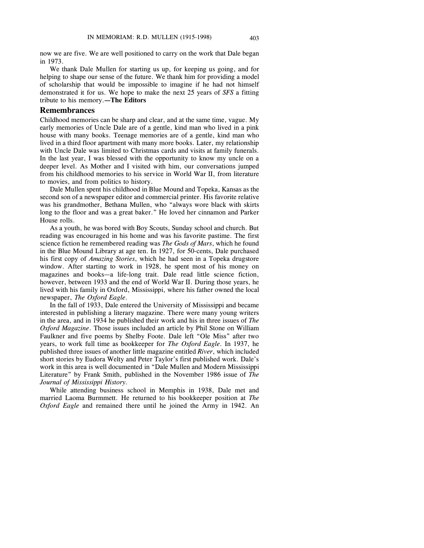now we are five. We are well positioned to carry on the work that Dale began in 1973.

We thank Dale Mullen for starting us up, for keeping us going, and for helping to shape our sense of the future. We thank him for providing a model of scholarship that would be impossible to imagine if he had not himself demonstrated it for us. We hope to make the next 25 years of *SFS* a fitting tribute to his memory.**—The Editors**

#### **Remembrances**

Childhood memories can be sharp and clear, and at the same time, vague. My early memories of Uncle Dale are of a gentle, kind man who lived in a pink house with many books. Teenage memories are of a gentle, kind man who lived in a third floor apartment with many more books. Later, my relationship with Uncle Dale was limited to Christmas cards and visits at family funerals. In the last year, I was blessed with the opportunity to know my uncle on a deeper level. As Mother and I visited with him, our conversations jumped from his childhood memories to his service in World War II, from literature to movies, and from politics to history.

Dale Mullen spent his childhood in Blue Mound and Topeka, Kansas as the second son of a newspaper editor and commercial printer. His favorite relative was his grandmother, Bethana Mullen, who "always wore black with skirts long to the floor and was a great baker." He loved her cinnamon and Parker House rolls.

As a youth, he was bored with Boy Scouts, Sunday school and church. But reading was encouraged in his home and was his favorite pastime. The first science fiction he remembered reading was *The Gods of Mars*, which he found in the Blue Mound Library at age ten. In 1927, for 50-cents, Dale purchased his first copy of *Amazing Stories*, which he had seen in a Topeka drugstore window. After starting to work in 1928, he spent most of his money on magazines and books—a life-long trait. Dale read little science fiction, however, between 1933 and the end of World War II. During those years, he lived with his family in Oxford, Mississippi, where his father owned the local newspaper, *The Oxford Eagle*.

In the fall of 1933, Dale entered the University of Mississippi and became interested in publishing a literary magazine. There were many young writers in the area, and in 1934 he published their work and his in three issues of *The Oxford Magazine*. Those issues included an article by Phil Stone on William Faulkner and five poems by Shelby Foote. Dale left "Ole Miss" after two years, to work full time as bookkeeper for *The Oxford Eagle*. In 1937, he published three issues of another little magazine entitled *River*, which included short stories by Eudora Welty and Peter Taylor's first published work. Dale's work in this area is well documented in "Dale Mullen and Modern Mississippi Literature" by Frank Smith, published in the November 1986 issue of *The Journal of Mississippi History*.

While attending business school in Memphis in 1938, Dale met and married Laoma Burmmett. He returned to his bookkeeper position at *The Oxford Eagle* and remained there until he joined the Army in 1942. An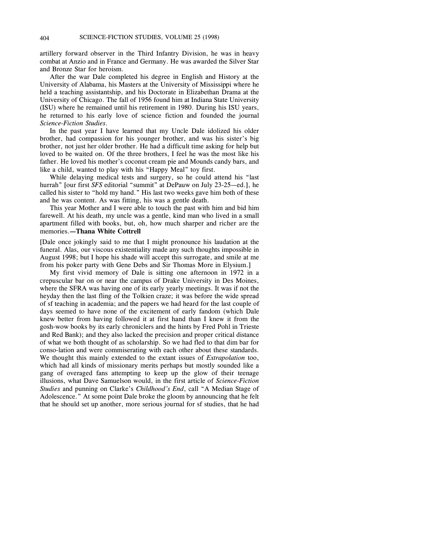artillery forward observer in the Third Infantry Division, he was in heavy combat at Anzio and in France and Germany. He was awarded the Silver Star and Bronze Star for heroism.

After the war Dale completed his degree in English and History at the University of Alabama, his Masters at the University of Mississippi where he held a teaching assistantship, and his Doctorate in Elizabethan Drama at the University of Chicago. The fall of 1956 found him at Indiana State University (ISU) where he remained until his retirement in 1980. During his ISU years, he returned to his early love of science fiction and founded the journal *Science-Fiction Studies*.

In the past year I have learned that my Uncle Dale idolized his older brother, had compassion for his younger brother, and was his sister's big brother, not just her older brother. He had a difficult time asking for help but loved to be waited on. Of the three brothers, I feel he was the most like his father. He loved his mother's coconut cream pie and Mounds candy bars, and like a child, wanted to play with his "Happy Meal" toy first.

While delaying medical tests and surgery, so he could attend his "last hurrah" [our first *SFS* editorial "summit" at DePauw on July 23-25—ed.], he called his sister to "hold my hand." His last two weeks gave him both of these and he was content. As was fitting, his was a gentle death.

This year Mother and I were able to touch the past with him and bid him farewell. At his death, my uncle was a gentle, kind man who lived in a small apartment filled with books, but, oh, how much sharper and richer are the memories.**—Thana White Cottrell**

[Dale once jokingly said to me that I might pronounce his laudation at the funeral. Alas, our viscous existentiality made any such thoughts impossible in August 1998; but I hope his shade will accept this surrogate, and smile at me from his poker party with Gene Debs and Sir Thomas More in Elysium.]

My first vivid memory of Dale is sitting one afternoon in 1972 in a crepuscular bar on or near the campus of Drake University in Des Moines, where the SFRA was having one of its early yearly meetings. It was if not the heyday then the last fling of the Tolkien craze; it was before the wide spread of sf teaching in academia; and the papers we had heard for the last couple of days seemed to have none of the excitement of early fandom (which Dale knew better from having followed it at first hand than I knew it from the gosh-wow books by its early chroniclers and the hints by Fred Pohl in Trieste and Red Bank); and they also lacked the precision and proper critical distance of what we both thought of as scholarship. So we had fled to that dim bar for conso-lation and were commiserating with each other about these standards. We thought this mainly extended to the extant issues of *Extrapolation* too, which had all kinds of missionary merits perhaps but mostly sounded like a gang of overaged fans attempting to keep up the glow of their teenage illusions, what Dave Samuelson would, in the first article of *Science-Fiction Studies* and punning on Clarke's *Childhood's End*, call "A Median Stage of Adolescence." At some point Dale broke the gloom by announcing that he felt that he should set up another, more serious journal for sf studies, that he had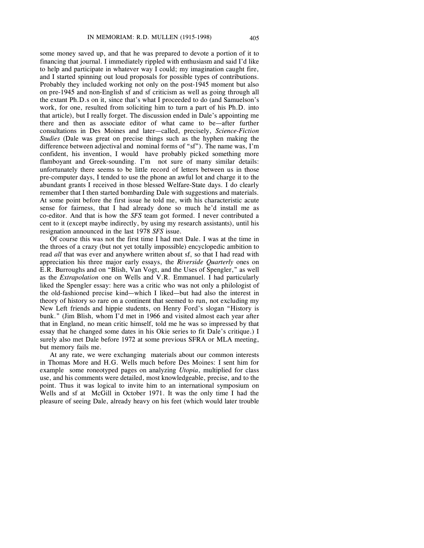some money saved up, and that he was prepared to devote a portion of it to financing that journal. I immediately rippled with enthusiasm and said I'd like to help and participate in whatever way I could; my imagination caught fire, and I started spinning out loud proposals for possible types of contributions. Probably they included working not only on the post-1945 moment but also on pre-1945 and non-English sf and sf criticism as well as going through all the extant Ph.D.s on it, since that's what I proceeded to do (and Samuelson's work, for one, resulted from soliciting him to turn a part of his Ph.D. into that article), but I really forget. The discussion ended in Dale's appointing me there and then as associate editor of what came to be—after further consultations in Des Moines and later—called, precisely, *Science-Fiction Studies* (Dale was great on precise things such as the hyphen making the difference between adjectival and nominal forms of "sf"). The name was, I'm confident, his invention, I would have probably picked something more flamboyant and Greek-sounding. I'm not sure of many similar details: unfortunately there seems to be little record of letters between us in those pre-computer days, I tended to use the phone an awful lot and charge it to the abundant grants I received in those blessed Welfare-State days. I do clearly remember that I then started bombarding Dale with suggestions and materials. At some point before the first issue he told me, with his characteristic acute sense for fairness, that I had already done so much he'd install me as co-editor. And that is how the *SFS* team got formed. I never contributed a cent to it (except maybe indirectly, by using my research assistants), until his resignation announced in the last 1978 *SFS* issue.

Of course this was not the first time I had met Dale. I was at the time in the throes of a crazy (but not yet totally impossible) encyclopedic ambition to read *all* that was ever and anywhere written about sf, so that I had read with appreciation his three major early essays, the *Riverside Quarterly* ones on E.R. Burroughs and on "Blish, Van Vogt, and the Uses of Spengler," as well as the *Extrapolation* one on Wells and V.R. Emmanuel. I had particularly liked the Spengler essay: here was a critic who was not only a philologist of the old-fashioned precise kind—which I liked—but had also the interest in theory of history so rare on a continent that seemed to run, not excluding my New Left friends and hippie students, on Henry Ford's slogan "History is bunk." (Jim Blish, whom I'd met in 1966 and visited almost each year after that in England, no mean critic himself, told me he was so impressed by that essay that he changed some dates in his Okie series to fit Dale's critique.) I surely also met Dale before 1972 at some previous SFRA or MLA meeting, but memory fails me.

At any rate, we were exchanging materials about our common interests in Thomas More and H.G. Wells much before Des Moines: I sent him for example some roneotyped pages on analyzing *Utopia*, multiplied for class use, and his comments were detailed, most knowledgeable, precise, and to the point. Thus it was logical to invite him to an international symposium on Wells and sf at McGill in October 1971. It was the only time I had the pleasure of seeing Dale, already heavy on his feet (which would later trouble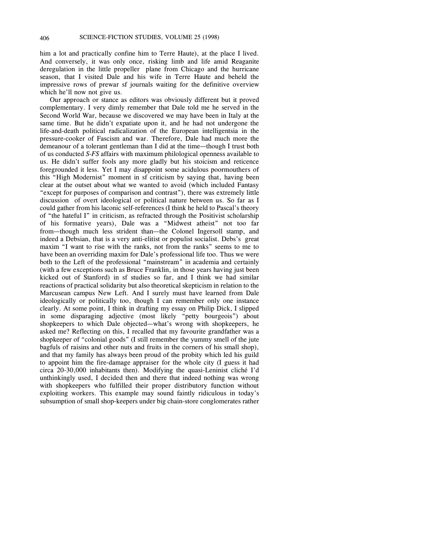him a lot and practically confine him to Terre Haute), at the place I lived. And conversely, it was only once, risking limb and life amid Reaganite deregulation in the little propeller plane from Chicago and the hurricane season, that I visited Dale and his wife in Terre Haute and beheld the impressive rows of prewar sf journals waiting for the definitive overview which he'll now not give us.

Our approach or stance as editors was obviously different but it proved complementary. I very dimly remember that Dale told me he served in the Second World War, because we discovered we may have been in Italy at the same time. But he didn't expatiate upon it, and he had not undergone the life-and-death political radicalization of the European intelligentsia in the pressure-cooker of Fascism and war. Therefore, Dale had much more the demeanour of a tolerant gentleman than I did at the time—though I trust both of us conducted *S-FS* affairs with maximum philological openness available to us. He didn't suffer fools any more gladly but his stoicism and reticence foregrounded it less. Yet I may disappoint some acidulous poormouthers of this "High Modernist" moment in sf criticism by saying that, having been clear at the outset about what we wanted to avoid (which included Fantasy "except for purposes of comparison and contrast"), there was extremely little discussion of overt ideological or political nature between us. So far as I could gather from his laconic self-references (I think he held to Pascal's theory of "the hateful I" in criticism, as refracted through the Positivist scholarship of his formative years), Dale was a "Midwest atheist" not too far from—though much less strident than—the Colonel Ingersoll stamp, and indeed a Debsian, that is a very anti-elitist or populist socialist. Debs's great maxim "I want to rise with the ranks, not from the ranks" seems to me to have been an overriding maxim for Dale's professional life too. Thus we were both to the Left of the professional "mainstream" in academia and certainly (with a few exceptions such as Bruce Franklin, in those years having just been kicked out of Stanford) in sf studies so far, and I think we had similar reactions of practical solidarity but also theoretical skepticism in relation to the Marcusean campus New Left. And I surely must have learned from Dale ideologically or politically too, though I can remember only one instance clearly. At some point, I think in drafting my essay on Philip Dick, I slipped in some disparaging adjective (most likely "petty bourgeois") about shopkeepers to which Dale objected—what's wrong with shopkeepers, he asked me? Reflecting on this, I recalled that my favourite grandfather was a shopkeeper of "colonial goods" (I still remember the yummy smell of the jute bagfuls of raisins and other nuts and fruits in the corners of his small shop), and that my family has always been proud of the probity which led his guild to appoint him the fire-damage appraiser for the whole city (I guess it had circa 20-30,000 inhabitants then). Modifying the quasi-Leninist cliché I'd unthinkingly used, I decided then and there that indeed nothing was wrong with shopkeepers who fulfilled their proper distributory function without exploiting workers. This example may sound faintly ridiculous in today's subsumption of small shop-keepers under big chain-store conglomerates rather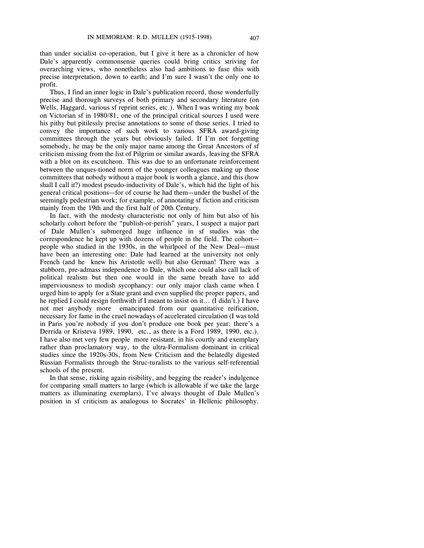than under socialist co-operation, but I give it here as a chronicler of how Dale's apparently commonsense queries could bring critics striving for overarching views, who nonetheless also had ambitions to fuse this with precise interpretation, down to earth; and I'm sure I wasn't the only one to profit.

Thus, I find an inner logic in Dale's publication record, those wonderfully precise and thorough surveys of both primary and secondary literature (on Wells, Haggard, various sf reprint series, etc.). When I was writing my book on Victorian sf in 1980/81, one of the principal critical sources I used were his pithy but pitilessly precise annotations to some of those series. I tried to convey the importance of such work to various SFRA award-giving committees through the years but obviously failed. If I'm not forgetting somebody, he may be the only major name among the Great Ancestors of sf criticism missing from the list of Pilgrim or similar awards, leaving the SFRA with a blot on its escutcheon. This was due to an unfortunate reinforcement between the unques-tioned norm of the younger colleagues making up those committees that nobody without a major book is worth a glance, and this (how shall I call it?) modest pseudo-inductivity of Dale's, which hid the light of his general critical positions—for of course he had them—under the bushel of the seemingly pedestrian work; for example, of annotating sf fiction and criticism mainly from the 19th and the first half of 20th Century.

In fact, with the modesty characteristic not only of him but also of his scholarly cohort before the "publish-or-perish" years, I suspect a major part of Dale Mullen's submerged huge influence in sf studies was the correspondence he kept up with dozens of people in the field. The cohort people who studied in the 1930s, in the whirlpool of the New Deal—must have been an interesting one: Dale had learned at the university not only French (and he knew his Aristotle well) but also German! There was a stubborn, pre-admass independence to Dale, which one could also call lack of political realism but then one would in the same breath have to add imperviousness to modish sycophancy: our only major clash came when I urged him to apply for a State grant and even supplied the proper papers, and he replied I could resign forthwith if I meant to insist on it... (I didn't.) I have not met anybody more emancipated from our quantitative reification, necessary for fame in the cruel nowadays of accelerated circulation (I was told in Paris you're nobody if you don't produce one book per year: there's a Derrida or Kristeva 1989, 1990, etc., as there is a Ford 1989, 1990, etc.). I have also met very few people more resistant, in his courtly and exemplary rather than proclamatory way, to the ultra-Formalism dominant in critical studies since the 1920s-30s, from New Criticism and the belatedly digested Russian Formalists through the Struc-turalists to the various self-referential schools of the present.

In that sense, risking again risibility, and begging the reader's indulgence for comparing small matters to large (which is allowable if we take the large matters as illuminating exemplars), I've always thought of Dale Mullen's position in sf criticism as analogous to Socrates' in Hellenic philosophy.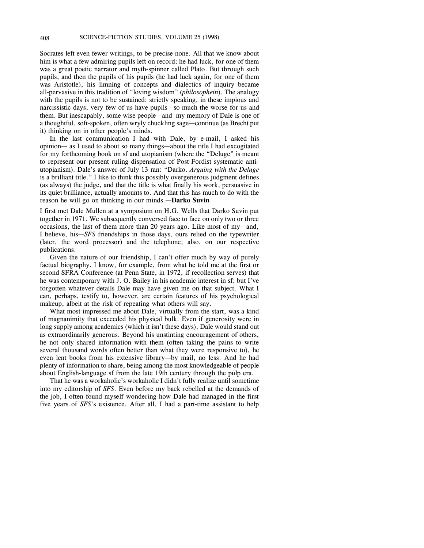Socrates left even fewer writings, to be precise none. All that we know about him is what a few admiring pupils left on record; he had luck, for one of them was a great poetic narrator and myth-spinner called Plato. But through such pupils, and then the pupils of his pupils (he had luck again, for one of them was Aristotle), his limning of concepts and dialectics of inquiry became all-pervasive in this tradition of "loving wisdom" (*philosophein*). The analogy with the pupils is not to be sustained: strictly speaking, in these impious and narcissistic days, very few of us have pupils—so much the worse for us and them. But inescapably, some wise people—and my memory of Dale is one of a thoughtful, soft-spoken, often wryly chuckling sage—continue (as Brecht put it) thinking on in other people's minds.

In the last communication I had with Dale, by e-mail, I asked his opinion— as I used to about so many things—about the title I had excogitated for my forthcoming book on sf and utopianism (where the "Deluge" is meant to represent our present ruling dispensation of Post-Fordist systematic antiutopianism). Dale's answer of July 13 ran: "Darko. *Arguing with the Deluge* is a brilliant title." I like to think this possibly overgenerous judgment defines (as always) the judge, and that the title is what finally his work, persuasive in its quiet brilliance, actually amounts to. And that this has much to do with the reason he will go on thinking in our minds.**—Darko Suvin**

I first met Dale Mullen at a symposium on H.G. Wells that Darko Suvin put together in 1971. We subsequently conversed face to face on only two or three occasions, the last of them more than 20 years ago. Like most of my—and, I believe, his—*SFS* friendships in those days, ours relied on the typewriter (later, the word processor) and the telephone; also, on our respective publications.

Given the nature of our friendship, I can't offer much by way of purely factual biography. I know, for example, from what he told me at the first or second SFRA Conference (at Penn State, in 1972, if recollection serves) that he was contemporary with J. O. Bailey in his academic interest in sf; but I've forgotten whatever details Dale may have given me on that subject. What I can, perhaps, testify to, however, are certain features of his psychological makeup, albeit at the risk of repeating what others will say.

What most impressed me about Dale, virtually from the start, was a kind of magnanimity that exceeded his physical bulk. Even if generosity were in long supply among academics (which it isn't these days), Dale would stand out as extraordinarily generous. Beyond his unstinting encouragement of others, he not only shared information with them (often taking the pains to write several thousand words often better than what they were responsive to), he even lent books from his extensive library—by mail, no less. And he had plenty of information to share, being among the most knowledgeable of people about English-language sf from the late 19th century through the pulp era.

That he was a workaholic's workaholic I didn't fully realize until sometime into my editorship of *SFS*. Even before my back rebelled at the demands of the job, I often found myself wondering how Dale had managed in the first five years of *SFS*'s existence. After all, I had a part-time assistant to help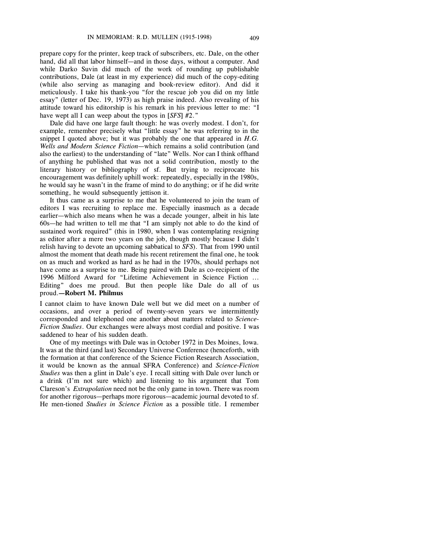prepare copy for the printer, keep track of subscribers, etc. Dale, on the other hand, did all that labor himself—and in those days, without a computer. And while Darko Suvin did much of the work of rounding up publishable contributions, Dale (at least in my experience) did much of the copy-editing (while also serving as managing and book-review editor). And did it meticulously. I take his thank-you "for the rescue job you did on my little essay" (letter of Dec. 19, 1973) as high praise indeed. Also revealing of his attitude toward his editorship is his remark in his previous letter to me: "I have wept all I can weep about the typos in [*SFS*] #2."

Dale did have one large fault though: he was overly modest. I don't, for example, remember precisely what "little essay" he was referring to in the snippet I quoted above; but it was probably the one that appeared in *H.G. Wells and Modern Science Fiction*—which remains a solid contribution (and also the earliest) to the understanding of "late" Wells. Nor can I think offhand of anything he published that was not a solid contribution, mostly to the literary history or bibliography of sf. But trying to reciprocate his encouragement was definitely uphill work: repeatedly, especially in the 1980s, he would say he wasn't in the frame of mind to do anything; or if he did write something, he would subsequently jettison it.

It thus came as a surprise to me that he volunteered to join the team of editors I was recruiting to replace me. Especially inasmuch as a decade earlier—which also means when he was a decade younger, albeit in his late 60s—he had written to tell me that "I am simply not able to do the kind of sustained work required" (this in 1980, when I was contemplating resigning as editor after a mere two years on the job, though mostly because I didn't relish having to devote an upcoming sabbatical to *SFS*). That from 1990 until almost the moment that death made his recent retirement the final one, he took on as much and worked as hard as he had in the 1970s, should perhaps not have come as a surprise to me. Being paired with Dale as co-recipient of the 1996 Milford Award for "Lifetime Achievement in Science Fiction ... Editing" does me proud. But then people like Dale do all of us proud.**—Robert M. Philmus**

I cannot claim to have known Dale well but we did meet on a number of occasions, and over a period of twenty-seven years we intermittently corresponded and telephoned one another about matters related to *Science-Fiction Studies*. Our exchanges were always most cordial and positive. I was saddened to hear of his sudden death.

One of my meetings with Dale was in October 1972 in Des Moines, Iowa. It was at the third (and last) Secondary Universe Conference (henceforth, with the formation at that conference of the Science Fiction Research Association, it would be known as the annual SFRA Conference) and *Science-Fiction Studies* was then a glint in Dale's eye. I recall sitting with Dale over lunch or a drink (I'm not sure which) and listening to his argument that Tom Clareson's *Extrapolation* need not be the only game in town. There was room for another rigorous—perhaps more rigorous—academic journal devoted to sf. He men-tioned *Studies in Science Fiction* as a possible title. I remember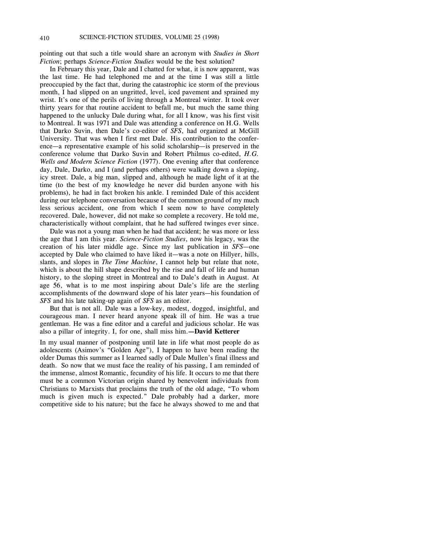pointing out that such a title would share an acronym with *Studies in Short Fiction*; perhaps *Science-Fiction Studies* would be the best solution?

In February this year, Dale and I chatted for what, it is now apparent, was the last time. He had telephoned me and at the time I was still a little preoccupied by the fact that, during the catastrophic ice storm of the previous month, I had slipped on an ungritted, level, iced pavement and sprained my wrist. It's one of the perils of living through a Montreal winter. It took over thirty years for that routine accident to befall me, but much the same thing happened to the unlucky Dale during what, for all I know, was his first visit to Montreal. It was 1971 and Dale was attending a conference on H.G. Wells that Darko Suvin, then Dale's co-editor of *SFS*, had organized at McGill University. That was when I first met Dale. His contribution to the conference—a representative example of his solid scholarship—is preserved in the conference volume that Darko Suvin and Robert Philmus co-edited, *H.G. Wells and Modern Science Fiction* (1977). One evening after that conference day, Dale, Darko, and I (and perhaps others) were walking down a sloping, icy street. Dale, a big man, slipped and, although he made light of it at the time (to the best of my knowledge he never did burden anyone with his problems), he had in fact broken his ankle. I reminded Dale of this accident during our telephone conversation because of the common ground of my much less serious accident, one from which I seem now to have completely recovered. Dale, however, did not make so complete a recovery. He told me, characteristically without complaint, that he had suffered twinges ever since.

Dale was not a young man when he had that accident; he was more or less the age that I am this year. *Science-Fiction Studies*, now his legacy, was the creation of his later middle age. Since my last publication in *SFS*—one accepted by Dale who claimed to have liked it—was a note on Hillyer, hills, slants, and slopes in *The Time Machine*, I cannot help but relate that note, which is about the hill shape described by the rise and fall of life and human history, to the sloping street in Montreal and to Dale's death in August. At age 56, what is to me most inspiring about Dale's life are the sterling accomplishments of the downward slope of his later years—his foundation of *SFS* and his late taking-up again of *SFS* as an editor.

But that is not all. Dale was a low-key, modest, dogged, insightful, and courageous man. I never heard anyone speak ill of him. He was a true gentleman. He was a fine editor and a careful and judicious scholar. He was also a pillar of integrity. I, for one, shall miss him.**—David Ketterer**

In my usual manner of postponing until late in life what most people do as adolescents (Asimov's "Golden Age"), I happen to have been reading the older Dumas this summer as I learned sadly of Dale Mullen's final illness and death. So now that we must face the reality of his passing, I am reminded of the immense, almost Romantic, fecundity of his life. It occurs to me that there must be a common Victorian origin shared by benevolent individuals from Christians to Marxists that proclaims the truth of the old adage, "To whom much is given much is expected." Dale probably had a darker, more competitive side to his nature; but the face he always showed to me and that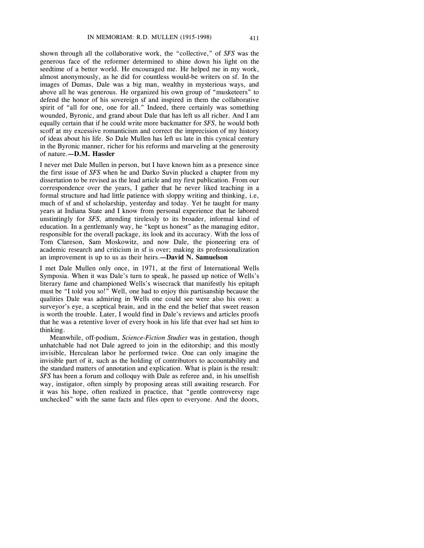shown through all the collaborative work, the "collective," of *SFS* was the generous face of the reformer determined to shine down his light on the seedtime of a better world. He encouraged me. He helped me in my work, almost anonymously, as he did for countless would-be writers on sf. In the images of Dumas, Dale was a big man, wealthy in mysterious ways, and above all he was generous. He organized his own group of "musketeers" to defend the honor of his sovereign sf and inspired in them the collaborative spirit of "all for one, one for all." Indeed, there certainly was something wounded, Byronic, and grand about Dale that has left us all richer. And I am equally certain that if he could write more backmatter for *SFS*, he would both scoff at my excessive romanticism and correct the imprecision of my history of ideas about his life. So Dale Mullen has left us late in this cynical century in the Byronic manner, richer for his reforms and marveling at the generosity of nature.**—D.M. Hassler**

I never met Dale Mullen in person, but I have known him as a presence since the first issue of *SFS* when he and Darko Suvin plucked a chapter from my dissertation to be revised as the lead article and my first publication. From our correspondence over the years, I gather that he never liked teaching in a formal structure and had little patience with sloppy writing and thinking, i.e, much of sf and sf scholarship, yesterday and today. Yet he taught for many years at Indiana State and I know from personal experience that he labored unstintingly for *SFS,* attending tirelessly to its broader, informal kind of education. In a gentlemanly way, he "kept us honest" as the managing editor, responsible for the overall package, its look and its accuracy. With the loss of Tom Clareson, Sam Moskowitz, and now Dale, the pioneering era of academic research and criticism in sf is over; making its professionalization an improvement is up to us as their heirs.**—David N. Samuelson**

I met Dale Mullen only once, in 1971, at the first of International Wells Symposia. When it was Dale's turn to speak, he passed up notice of Wells's literary fame and championed Wells's wisecrack that manifestly his epitaph must be "I told you so!" Well, one had to enjoy this partisanship because the qualities Dale was admiring in Wells one could see were also his own: a surveyor's eye, a sceptical brain, and in the end the belief that sweet reason is worth the trouble. Later, I would find in Dale's reviews and articles proofs that he was a retentive lover of every book in his life that ever had set him to thinking.

Meanwhile, off-podium, *Science-Fiction Studies* was in gestation, though unhatchable had not Dale agreed to join in the editorship; and this mostly invisible, Herculean labor he performed twice. One can only imagine the invisible part of it, such as the holding of contributors to accountability and the standard matters of annotation and explication. What is plain is the result: *SFS* has been a forum and colloquy with Dale as referee and, in his unselfish way, instigator, often simply by proposing areas still awaiting research. For it was his hope, often realized in practice, that "gentle controversy rage unchecked" with the same facts and files open to everyone. And the doors,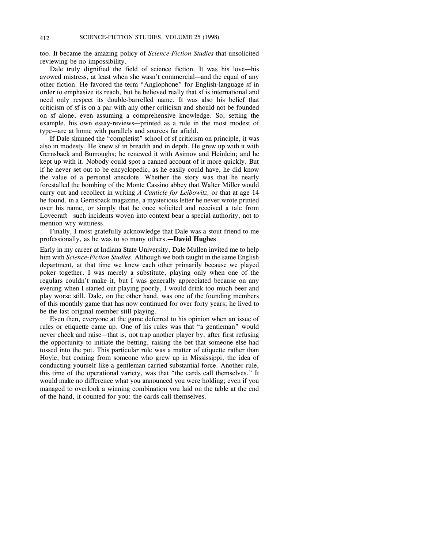too. It became the amazing policy of *Science-Fiction Studies* that unsolicited reviewing be no impossibility.

Dale truly dignified the field of science fiction. It was his love—his avowed mistress, at least when she wasn't commercial—and the equal of any other fiction. He favored the term "Anglophone" for English-language sf in order to emphasize its reach, but he believed really that sf is international and need only respect its double-barrelled name. It was also his belief that criticism of sf is on a par with any other criticism and should not be founded on sf alone, even assuming a comprehensive knowledge. So, setting the example, his own essay-reviews—printed as a rule in the most modest of type—are at home with parallels and sources far afield.

If Dale shunned the "completist" school of sf criticism on principle, it was also in modesty. He knew sf in breadth and in depth. He grew up with it with Gernsback and Burroughs; he renewed it with Asimov and Heinlein; and he kept up with it. Nobody could spot a canned account of it more quickly. But if he never set out to be encyclopedic, as he easily could have, he did know the value of a personal anecdote. Whether the story was that he nearly forestalled the bombing of the Monte Cassino abbey that Walter Miller would carry out and recollect in writing *A Canticle for Leibowitz,* or that at age 14 he found, in a Gernsback magazine, a mysterious letter he never wrote printed over his name, or simply that he once solicited and received a tale from Lovecraft—such incidents woven into context bear a special authority, not to mention wry wittiness.

Finally, I most gratefully acknowledge that Dale was a stout friend to me professionally, as he was to so many others.**—David Hughes**

Early in my career at Indiana State University, Dale Mullen invited me to help him with *Science-Fiction Studies*. Although we both taught in the same English department, at that time we knew each other primarily because we played poker together. I was merely a substitute, playing only when one of the regulars couldn't make it, but I was generally appreciated because on any evening when I started out playing poorly, I would drink too much beer and play worse still. Dale, on the other hand, was one of the founding members of this monthly game that has now continued for over forty years; he lived to be the last original member still playing.

Even then, everyone at the game deferred to his opinion when an issue of rules or etiquette came up. One of his rules was that "a gentleman" would never check and raise—that is, not trap another player by, after first refusing the opportunity to initiate the betting, raising the bet that someone else had tossed into the pot. This particular rule was a matter of etiquette rather than Hoyle, but coming from someone who grew up in Mississippi, the idea of conducting yourself like a gentleman carried substantial force. Another rule, this time of the operational variety, was that "the cards call themselves." It would make no difference what you announced you were holding; even if you managed to overlook a winning combination you laid on the table at the end of the hand, it counted for you: the cards call themselves.